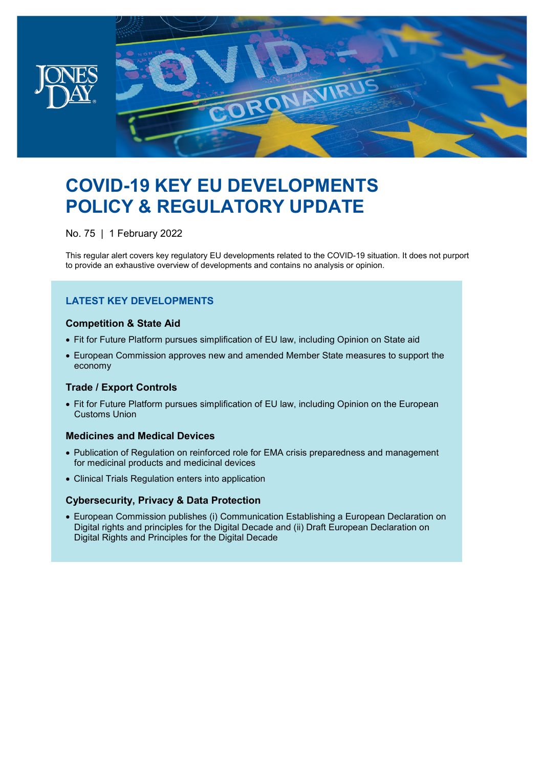

# **COVID-19 KEY EU DEVELOPMENTS POLICY & REGULATORY UPDATE**

No. 75 | 1 February 2022

This regular alert covers key regulatory EU developments related to the COVID-19 situation. It does not purport to provide an exhaustive overview of developments and contains no analysis or opinion.

#### **LATEST KEY DEVELOPMENTS**

#### **Competition & State Aid**

- Fit for Future Platform pursues simplification of EU law, including Opinion on State aid
- European Commission approves new and amended Member State measures to support the economy

#### **Trade / Export Controls**

• Fit for Future Platform pursues simplification of EU law, including Opinion on the European Customs Union

#### **Medicines and Medical Devices**

- Publication of Regulation on reinforced role for EMA crisis preparedness and management for medicinal products and medicinal devices
- Clinical Trials Regulation enters into application

#### **Cybersecurity, Privacy & Data Protection**

• European Commission publishes (i) Communication Establishing a European Declaration on Digital rights and principles for the Digital Decade and (ii) Draft European Declaration on Digital Rights and Principles for the Digital Decade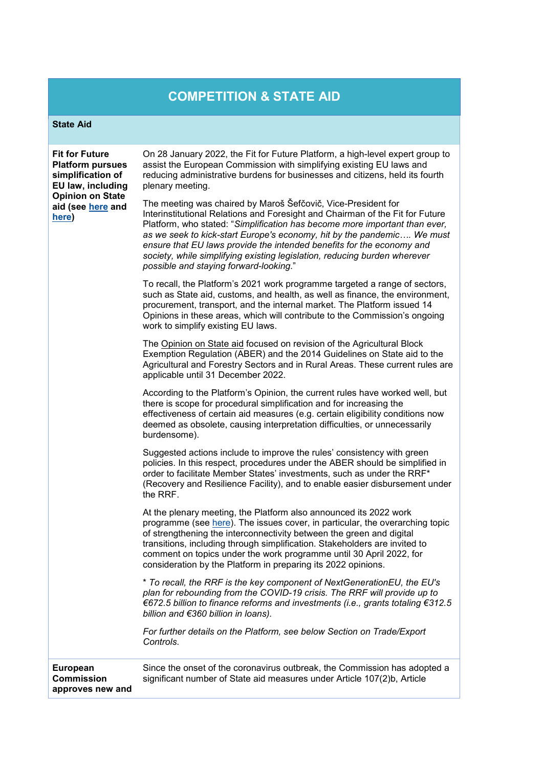# **COMPETITION & STATE AID**

#### **State Aid**

| <b>Fit for Future</b><br><b>Platform pursues</b><br>simplification of<br>EU law, including<br><b>Opinion on State</b><br>aid (see here and<br>here) | On 28 January 2022, the Fit for Future Platform, a high-level expert group to<br>assist the European Commission with simplifying existing EU laws and<br>reducing administrative burdens for businesses and citizens, held its fourth<br>plenary meeting.                                                                                                                                                                                                                                              |
|-----------------------------------------------------------------------------------------------------------------------------------------------------|--------------------------------------------------------------------------------------------------------------------------------------------------------------------------------------------------------------------------------------------------------------------------------------------------------------------------------------------------------------------------------------------------------------------------------------------------------------------------------------------------------|
|                                                                                                                                                     | The meeting was chaired by Maroš Šefčovič, Vice-President for<br>Interinstitutional Relations and Foresight and Chairman of the Fit for Future<br>Platform, who stated: "Simplification has become more important than ever,<br>as we seek to kick-start Europe's economy, hit by the pandemic We must<br>ensure that EU laws provide the intended benefits for the economy and<br>society, while simplifying existing legislation, reducing burden wherever<br>possible and staying forward-looking." |
|                                                                                                                                                     | To recall, the Platform's 2021 work programme targeted a range of sectors,<br>such as State aid, customs, and health, as well as finance, the environment,<br>procurement, transport, and the internal market. The Platform issued 14<br>Opinions in these areas, which will contribute to the Commission's ongoing<br>work to simplify existing EU laws.                                                                                                                                              |
|                                                                                                                                                     | The Opinion on State aid focused on revision of the Agricultural Block<br>Exemption Regulation (ABER) and the 2014 Guidelines on State aid to the<br>Agricultural and Forestry Sectors and in Rural Areas. These current rules are<br>applicable until 31 December 2022.                                                                                                                                                                                                                               |
|                                                                                                                                                     | According to the Platform's Opinion, the current rules have worked well, but<br>there is scope for procedural simplification and for increasing the<br>effectiveness of certain aid measures (e.g. certain eligibility conditions now<br>deemed as obsolete, causing interpretation difficulties, or unnecessarily<br>burdensome).                                                                                                                                                                     |
|                                                                                                                                                     | Suggested actions include to improve the rules' consistency with green<br>policies. In this respect, procedures under the ABER should be simplified in<br>order to facilitate Member States' investments, such as under the RRF*<br>(Recovery and Resilience Facility), and to enable easier disbursement under<br>the RRF.                                                                                                                                                                            |
|                                                                                                                                                     | At the plenary meeting, the Platform also announced its 2022 work<br>programme (see here). The issues cover, in particular, the overarching topic<br>of strengthening the interconnectivity between the green and digital<br>transitions, including through simplification. Stakeholders are invited to<br>comment on topics under the work programme until 30 April 2022, for<br>consideration by the Platform in preparing its 2022 opinions.                                                        |
|                                                                                                                                                     | * To recall, the RRF is the key component of NextGenerationEU, the EU's<br>plan for rebounding from the COVID-19 crisis. The RRF will provide up to<br>€672.5 billion to finance reforms and investments (i.e., grants totaling €312.5<br>billion and €360 billion in loans).                                                                                                                                                                                                                          |
|                                                                                                                                                     | For further details on the Platform, see below Section on Trade/Export<br>Controls.                                                                                                                                                                                                                                                                                                                                                                                                                    |
| European<br><b>Commission</b><br>approves new and                                                                                                   | Since the onset of the coronavirus outbreak, the Commission has adopted a<br>significant number of State aid measures under Article 107(2)b, Article                                                                                                                                                                                                                                                                                                                                                   |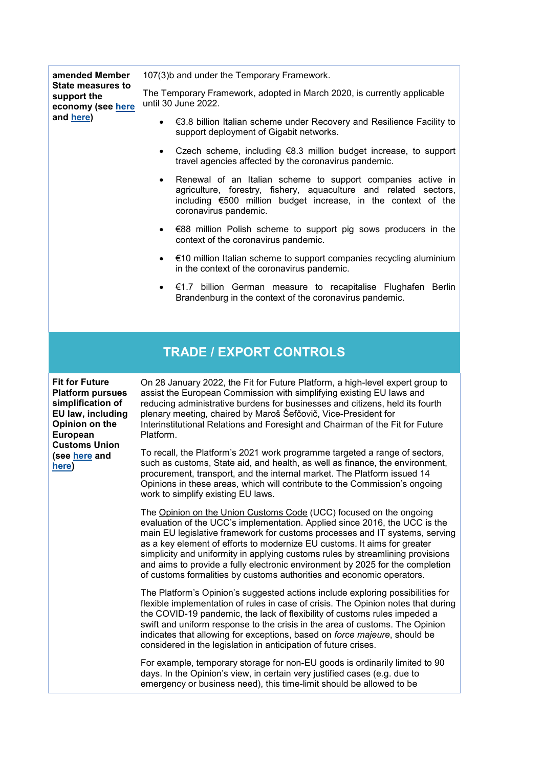**amended Member State measures to support the economy (see [here](https://ec.europa.eu/info/live-work-travel-eu/coronavirus-response/jobs-and-economy-during-coronavirus-pandemic/state-aid-cases_en) and [here\)](https://ec.europa.eu/competition-policy/state-aid/coronavirus_en)**

107(3)b and under the Temporary Framework.

The Temporary Framework, adopted in March 2020, is currently applicable until 30 June 2022.

- €3.8 billion Italian scheme under Recovery and Resilience Facility to support deployment of Gigabit networks.
- Czech scheme, including  $68.3$  million budget increase, to support travel agencies affected by the coronavirus pandemic.
- Renewal of an Italian scheme to support companies active in agriculture, forestry, fishery, aquaculture and related sectors, including €500 million budget increase, in the context of the coronavirus pandemic.
- €88 million Polish scheme to support pig sows producers in the context of the coronavirus pandemic.
- $€10$  million Italian scheme to support companies recycling aluminium in the context of the coronavirus pandemic.
- €1.7 billion German measure to recapitalise Flughafen Berlin Brandenburg in the context of the coronavirus pandemic.

## **TRADE / EXPORT CONTROLS**

**Fit for Future Platform pursues simplification of EU law, including Opinion on the European Customs Union (see [here](https://ec.europa.eu/info/law/law-making-process/evaluating-and-improving-existing-laws/refit-making-eu-law-simpler-less-costly-and-future-proof/fit-future-platform-f4f/adopted-opinions_en) and [here\)](https://ec.europa.eu/info/sites/default/files/final_opinion_2021_sbgr3_13_union_customs_code.pdf)**

On 28 January 2022, the Fit for Future Platform, a high-level expert group to assist the European Commission with simplifying existing EU laws and reducing administrative burdens for businesses and citizens, held its fourth plenary meeting, chaired by Maroš Šefčovič, Vice-President for Interinstitutional Relations and Foresight and Chairman of the Fit for Future Platform.

To recall, the Platform's 2021 work programme targeted a range of sectors, such as customs, State aid, and health, as well as finance, the environment, procurement, transport, and the internal market. The Platform issued 14 Opinions in these areas, which will contribute to the Commission's ongoing work to simplify existing EU laws.

The Opinion on the Union Customs Code (UCC) focused on the ongoing evaluation of the UCC's implementation. Applied since 2016, the UCC is the main EU legislative framework for customs processes and IT systems, serving as a key element of efforts to modernize EU customs. It aims for greater simplicity and uniformity in applying customs rules by streamlining provisions and aims to provide a fully electronic environment by 2025 for the completion of customs formalities by customs authorities and economic operators.

The Platform's Opinion's suggested actions include exploring possibilities for flexible implementation of rules in case of crisis. The Opinion notes that during the COVID-19 pandemic, the lack of flexibility of customs rules impeded a swift and uniform response to the crisis in the area of customs. The Opinion indicates that allowing for exceptions, based on *force majeure*, should be considered in the legislation in anticipation of future crises.

For example, temporary storage for non-EU goods is ordinarily limited to 90 days. In the Opinion's view, in certain very justified cases (e.g. due to emergency or business need), this time-limit should be allowed to be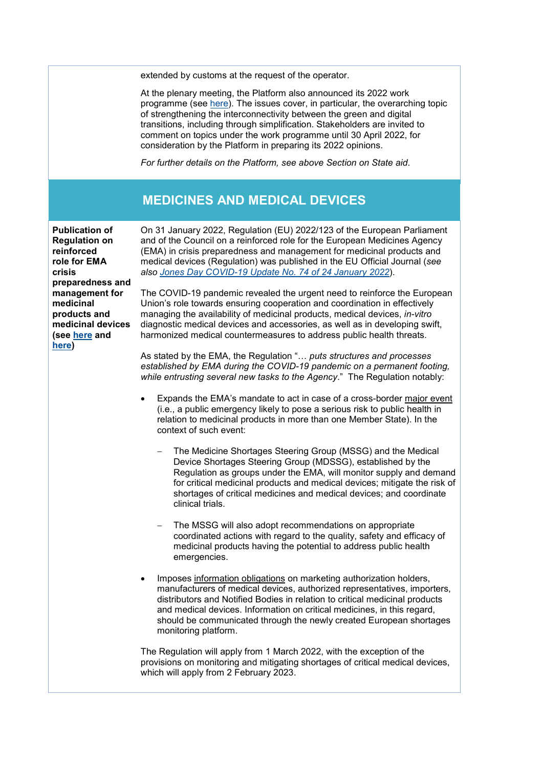extended by customs at the request of the operator.

At the plenary meeting, the Platform also announced its 2022 work programme (see [here\)](https://ec.europa.eu/info/sites/default/files/2022_annual_work_programme_-_fit_for_future_platform_en.pdf). The issues cover, in particular, the overarching topic of strengthening the interconnectivity between the green and digital transitions, including through simplification. Stakeholders are invited to comment on topics under the work programme until 30 April 2022, for consideration by the Platform in preparing its 2022 opinions.

*For further details on the Platform, see above Section on State aid*.

### **MEDICINES AND MEDICAL DEVICES**

**Publication of Regulation on reinforced role for EMA crisis preparedness and management for medicinal products and medicinal devices (see [here](https://www.ema.europa.eu/en/news/stronger-role-ema) and [here\)](https://eur-lex.europa.eu/legal-content/EN/TXT/?uri=CELEX%3A32022R0123&qid=1643971337750)**

On 31 January 2022, Regulation (EU) 2022/123 of the European Parliament and of the Council on a reinforced role for the European Medicines Agency (EMA) in crisis preparedness and management for medicinal products and medical devices (Regulation) was published in the EU Official Journal (*see also [Jones Day COVID-19 Update No. 74 of 24 January 2022](https://www.jonesday.com/en/insights/2022/01/covid-19-key-eu-developments-policy--regulatory-update-no-74)*).

The COVID-19 pandemic revealed the urgent need to reinforce the European Union's role towards ensuring cooperation and coordination in effectively managing the availability of medicinal products, medical devices, *in-vitro* diagnostic medical devices and accessories, as well as in developing swift, harmonized medical countermeasures to address public health threats.

As stated by the EMA, the Regulation "… *puts structures and processes established by EMA during the COVID-19 pandemic on a permanent footing, while entrusting several new tasks to the Agency*." The Regulation notably:

- Expands the EMA's mandate to act in case of a cross-border major event (i.e., a public emergency likely to pose a serious risk to public health in relation to medicinal products in more than one Member State). In the context of such event:
	- The Medicine Shortages Steering Group (MSSG) and the Medical Device Shortages Steering Group (MDSSG), established by the Regulation as groups under the EMA, will monitor supply and demand for critical medicinal products and medical devices; mitigate the risk of shortages of critical medicines and medical devices; and coordinate clinical trials.
	- The MSSG will also adopt recommendations on appropriate coordinated actions with regard to the quality, safety and efficacy of medicinal products having the potential to address public health emergencies.
- Imposes information obligations on marketing authorization holders, manufacturers of medical devices, authorized representatives, importers, distributors and Notified Bodies in relation to critical medicinal products and medical devices. Information on critical medicines, in this regard, should be communicated through the newly created European shortages monitoring platform.

The Regulation will apply from 1 March 2022, with the exception of the provisions on monitoring and mitigating shortages of critical medical devices, which will apply from 2 February 2023.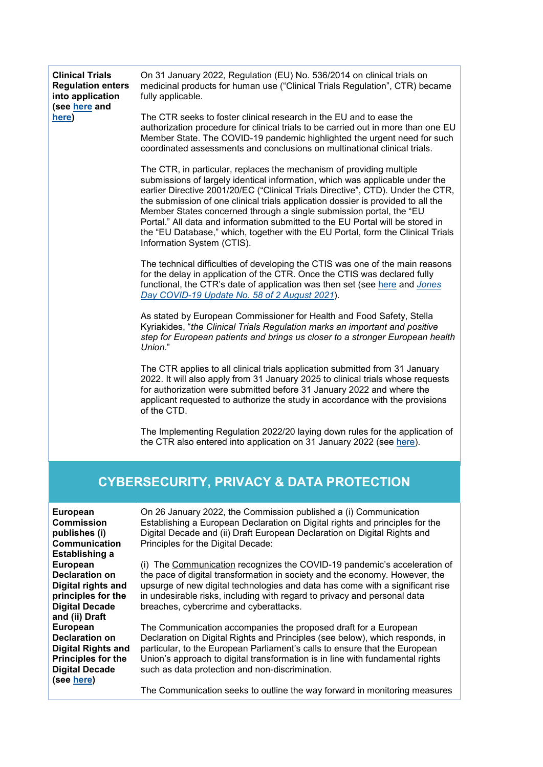| <b>Clinical Trials</b><br><b>Regulation enters</b><br>into application<br>(see here and<br>here)                                                                                                          | On 31 January 2022, Regulation (EU) No. 536/2014 on clinical trials on<br>medicinal products for human use ("Clinical Trials Regulation", CTR) became<br>fully applicable.<br>The CTR seeks to foster clinical research in the EU and to ease the<br>authorization procedure for clinical trials to be carried out in more than one EU<br>Member State. The COVID-19 pandemic highlighted the urgent need for such<br>coordinated assessments and conclusions on multinational clinical trials.<br>The CTR, in particular, replaces the mechanism of providing multiple<br>submissions of largely identical information, which was applicable under the<br>earlier Directive 2001/20/EC ("Clinical Trials Directive", CTD). Under the CTR,<br>the submission of one clinical trials application dossier is provided to all the<br>Member States concerned through a single submission portal, the "EU<br>Portal." All data and information submitted to the EU Portal will be stored in<br>the "EU Database," which, together with the EU Portal, form the Clinical Trials<br>Information System (CTIS).<br>The technical difficulties of developing the CTIS was one of the main reasons<br>for the delay in application of the CTR. Once the CTIS was declared fully<br>functional, the CTR's date of application was then set (see here and Jones<br>Day COVID-19 Update No. 58 of 2 August 2021).<br>As stated by European Commissioner for Health and Food Safety, Stella<br>Kyriakides, "the Clinical Trials Regulation marks an important and positive<br>step for European patients and brings us closer to a stronger European health<br>Union."<br>The CTR applies to all clinical trials application submitted from 31 January<br>2022. It will also apply from 31 January 2025 to clinical trials whose requests<br>for authorization were submitted before 31 January 2022 and where the<br>applicant requested to authorize the study in accordance with the provisions<br>of the CTD.<br>The Implementing Regulation 2022/20 laying down rules for the application of |  |
|-----------------------------------------------------------------------------------------------------------------------------------------------------------------------------------------------------------|--------------------------------------------------------------------------------------------------------------------------------------------------------------------------------------------------------------------------------------------------------------------------------------------------------------------------------------------------------------------------------------------------------------------------------------------------------------------------------------------------------------------------------------------------------------------------------------------------------------------------------------------------------------------------------------------------------------------------------------------------------------------------------------------------------------------------------------------------------------------------------------------------------------------------------------------------------------------------------------------------------------------------------------------------------------------------------------------------------------------------------------------------------------------------------------------------------------------------------------------------------------------------------------------------------------------------------------------------------------------------------------------------------------------------------------------------------------------------------------------------------------------------------------------------------------------------------------------------------------------------------------------------------------------------------------------------------------------------------------------------------------------------------------------------------------------------------------------------------------------------------------------------------------------------------------------------------------------------------------------------------------------------------------------------------------------------------------|--|
|                                                                                                                                                                                                           | the CTR also entered into application on 31 January 2022 (see here).                                                                                                                                                                                                                                                                                                                                                                                                                                                                                                                                                                                                                                                                                                                                                                                                                                                                                                                                                                                                                                                                                                                                                                                                                                                                                                                                                                                                                                                                                                                                                                                                                                                                                                                                                                                                                                                                                                                                                                                                                 |  |
| <b>CYBERSECURITY, PRIVACY &amp; DATA PROTECTION</b>                                                                                                                                                       |                                                                                                                                                                                                                                                                                                                                                                                                                                                                                                                                                                                                                                                                                                                                                                                                                                                                                                                                                                                                                                                                                                                                                                                                                                                                                                                                                                                                                                                                                                                                                                                                                                                                                                                                                                                                                                                                                                                                                                                                                                                                                      |  |
| <b>European</b><br><b>Commission</b><br>publishes (i)<br>Communication<br>Establishing a<br><b>European</b><br><b>Declaration on</b><br>Digital rights and<br>principles for the<br><b>Digital Decade</b> | On 26 January 2022, the Commission published a (i) Communication<br>Establishing a European Declaration on Digital rights and principles for the<br>Digital Decade and (ii) Draft European Declaration on Digital Rights and<br>Principles for the Digital Decade:<br>(i) The Communication recognizes the COVID-19 pandemic's acceleration of<br>the pace of digital transformation in society and the economy. However, the<br>upsurge of new digital technologies and data has come with a significant rise<br>in undesirable risks, including with regard to privacy and personal data<br>breaches, cybercrime and cyberattacks.                                                                                                                                                                                                                                                                                                                                                                                                                                                                                                                                                                                                                                                                                                                                                                                                                                                                                                                                                                                                                                                                                                                                                                                                                                                                                                                                                                                                                                                 |  |
| and (ii) Draft<br><b>European</b><br><b>Declaration on</b><br><b>Digital Rights and</b>                                                                                                                   | The Communication accompanies the proposed draft for a European<br>Declaration on Digital Rights and Principles (see below), which responds, in<br>particular, to the European Parliament's calls to ensure that the European                                                                                                                                                                                                                                                                                                                                                                                                                                                                                                                                                                                                                                                                                                                                                                                                                                                                                                                                                                                                                                                                                                                                                                                                                                                                                                                                                                                                                                                                                                                                                                                                                                                                                                                                                                                                                                                        |  |

The Communication seeks to outline the way forward in monitoring measures

Union's approach to digital transformation is in line with fundamental rights

such as data protection and non-discrimination.

**Principles for the Digital Decade (see [here\)](https://digital-strategy.ec.europa.eu/en/library/declaration-european-digital-rights-and-principles)**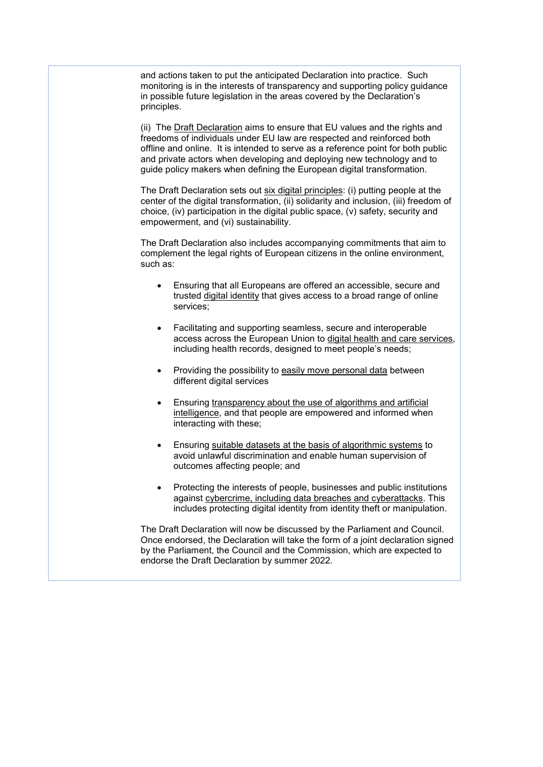and actions taken to put the anticipated Declaration into practice. Such monitoring is in the interests of transparency and supporting policy guidance in possible future legislation in the areas covered by the Declaration's principles.

(ii) The Draft Declaration aims to ensure that EU values and the rights and freedoms of individuals under EU law are respected and reinforced both offline and online. It is intended to serve as a reference point for both public and private actors when developing and deploying new technology and to guide policy makers when defining the European digital transformation.

The Draft Declaration sets out six digital principles: (i) putting people at the center of the digital transformation, (ii) solidarity and inclusion, (iii) freedom of choice, (iv) participation in the digital public space, (v) safety, security and empowerment, and (vi) sustainability.

The Draft Declaration also includes accompanying commitments that aim to complement the legal rights of European citizens in the online environment, such as:

- Ensuring that all Europeans are offered an accessible, secure and trusted digital identity that gives access to a broad range of online services;
- Facilitating and supporting seamless, secure and interoperable access across the European Union to digital health and care services, including health records, designed to meet people's needs;
- Providing the possibility to easily move personal data between different digital services
- Ensuring transparency about the use of algorithms and artificial intelligence, and that people are empowered and informed when interacting with these;
- Ensuring suitable datasets at the basis of algorithmic systems to avoid unlawful discrimination and enable human supervision of outcomes affecting people; and
- Protecting the interests of people, businesses and public institutions against cybercrime, including data breaches and cyberattacks. This includes protecting digital identity from identity theft or manipulation.

The Draft Declaration will now be discussed by the Parliament and Council. Once endorsed, the Declaration will take the form of a joint declaration signed by the Parliament, the Council and the Commission, which are expected to endorse the Draft Declaration by summer 2022.